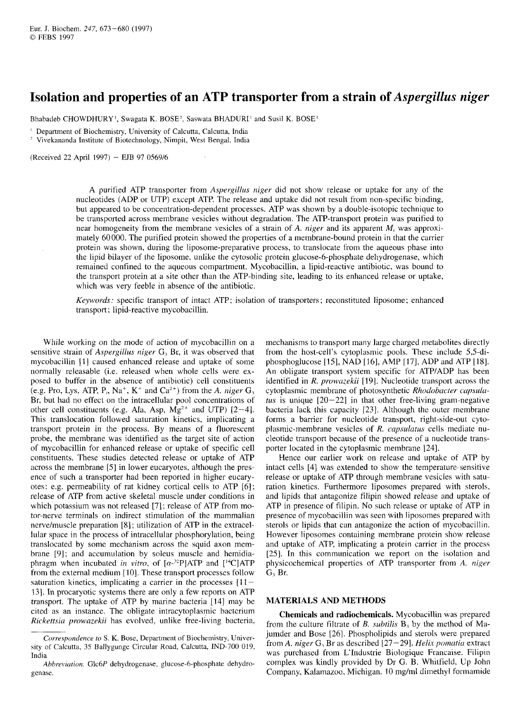# Isolation and properties of an ATP transporter from a strain of Aspergillus niger **from a strain of** *Aspergillus niger*<br><sub>OSE!</sub>

Bhabadeb CHOWDHURY', Swagata K. BOSE<sup>2</sup>, Saswata BHADURI<sup>1</sup> and Susil K. BOSE<sup>1</sup>

' Department of Biochemistry, University of Calcutta, Calcutta, India

Vivekananda Institute of Biotechnology, Nimpit, West Bengal, India

(Received 22 April 1997) - EJB 97 0569/6

A purified ATP transporter from *Aspergillus niger* did not show release or uptake for any of the nucleotides (ADP or UTP) except ATP. The release and uptake did not result from non-specific binding, but appeared to be concentration-dependent processes. ATP was shown by a double-isotopic technique to be transported across membrane vesicles without degradation. The ATP-transport protein was purified to near homogeneity from the membrane vesicles of a strain of A. *niger* and its apparent *M,.* was approximately 60000. The purified protein showed the properties of a membrane-bound protein in that the carrier protein was shown, during the liposome-preparative process, to translocate from the aqueous phase into the lipid bilayer of the liposome, unlike the cytosolic protein glucose-6-phosphate dehydrogenase, which remained confined to the aqueous compartment. Mycobacillin, a lipid-reactive antibiotic, was bound to the transport protein at a site other than the ATP-binding site, leading to its enhanced release or uptake, which was very feeble in absence of the antibiotic.

*Keywords:* specific transport of intact ATP; isolation of transporters ; reconstituted liposome; enhanced transport ; lipid-reactive mycobacillin.

While working on the mode of action of mycobacillin on a sensitive strain of *Aspergillus niger G,* Br, it was observed that mycobacillin [I] caused enhanced release and uptake of some normally releasable (i.e. released when whole cells were exposed to buffer in the absence of antibiotic) cell constituents (e.g. Pro, Lys, ATP,  $P_i$ , Na<sup>+</sup>, K<sup>+</sup> and Ca<sup>2+</sup>) from the A. *niger*  $G_3$ Br, but had no effect on the intracellular pool concentrations of other cell constituents (e.g. Ala, Asp,  $Mg^{2+}$  and UTP) [2-4]. This translocation followed saturation kinetics, implicating a transport protein in the process. By means of a fluorescent probe, the membrane was identified as the target site of action of mycobacillin for enhanced release or uptake of specific cell constituents. These studies detected release or uptake of ATP across the membrane [5] in lower eucaryotes, although the presence of such a transporter had been reported in higher eucaryotes: e.g. permeability of rat kidney cortical cells to ATP [6]; release of ATP from active skeletal muscle under conditions in which potassium was not released [7]; release of ATP from motor-nerve terminals on indirect stimulation of the mammalian nerve/muscle preparation [8]; utilization of ATP in the extracellular space in the process of intracellular phosphorylation, being translocated by some mechanism across the squid axon membrane [9]; and accumulation by soleus muscle and hemidiaphragm when incubated in vitro, of  $[\alpha^{-32}P]ATP$  and  $[{}^{14}C]ATP$ from the external medium [IO]. These transport processes follow saturation kinetics, implicating a carrier in the processes  $[11]$ 131. In procaryotic systems there are only a few reports on ATP transport. The uptake of ATP by marine bacteria [I41 may be cited as an instance. The obligate intracytoplasmic bacterium *Rickettsiu prowazekii* has evolved, unlike free-living bacteria, mechanisms to transport many large charged metabolites directly from the host-cell's cytoplasmic pools. These include 5,5-diphosphoglucose [15], NAD [16j, AMP [17], ADP and ATP [18]. An obligate transport system specific for ATP/ADP has been identified in *R. prowazekii* [19]. Nucleotide transport across the cytoplasmic membrane of photosynthetic *Rhodobacter*  bacteria lack this capacity [23]. Although the outer membrane tus is unique  $[20-22]$  in that other free-living gram-negative *cuectly*<br> *cupsulu-*<br> *cupsulu-*<br> *capsula*-<br> *capsula*-<br> *capsula*-<br> *cupsulus* forms a barrier for nucleotide transport, right-side-out cytoplasmic-membrane vesicles of *R. caysulatus* cells mediate nucleotide transport because of the presence of a nucleotide transporter located in the cytoplasmic membrane [24].

Hence our earlier work on release and uptake of ATP by intact cells [4] was extended to show the temperature-sensitive release or uptake of ATP through membrane vesicles with saturation kinetics. Furthermore liposomes prepared with sterols, and lipids that antagonize filipin showed release and uptake of ATP in presence of filipin. No such release or uptake of ATP in presence of mycobacillin was seen with liposomes prepared with sterols or lipids that can antagonize the action of mycobacillin. However liposomes containing membrane protein show release and uptake of ATP, implicating a protein carrier in the process [25]. In this communication we report on the isolation and physicochemical properties of ATP transporter from  $A$ . *niger* and tiplus that antagonize fitipin stowed release and update of ATP in presence of mycobacillin was seen with liposomes prepared with sterols or lipids that can antagonize the action of mycobacillin. However liposomes cont G, Br.

### **MATERIALS AND METHODS**

**Chemicals and radiochemicals.** Mycobacillin was prepared from the culture filtrate of *B. subtilis* B, by the method of Majumder and Bose [26]. Phospholipids and sterols were prepared from A. niger  $G_3$  Br as described  $[27-29]$ . *Helix pomatia* extract was purchased from L'Industrie Biologique Francaise. Filipin complex was kindly provided by Dr G. B. Whitfield, Up John Company, Kalamazoo, Michigan. 10 mg/ml dimethyl formamide

*Correspondence to S. K.* Bose, Department of Biochemistry, University of Calcutta, 35 Ballygunge Circular Road, Calcutta, IND-700 019, India

*Ahbreviution.* Glc6P dehydrogenase, glucose-6-phosphate dehydrogenase.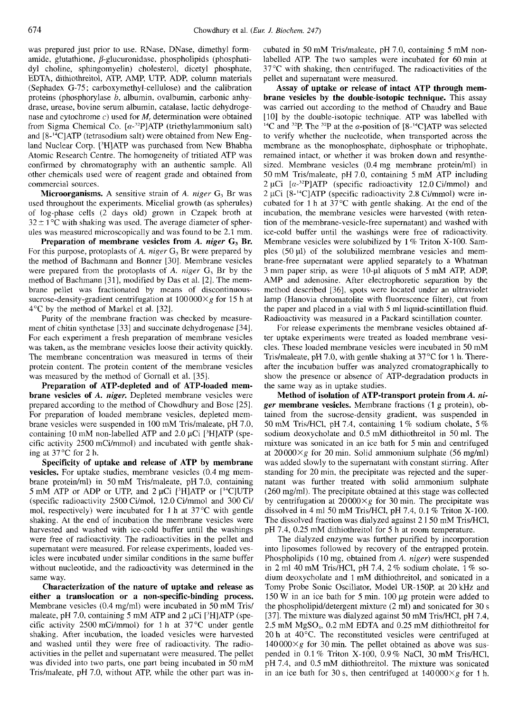Chowdhury et al. *(Eur. J. Biochem. 247)*<br>Was prepared just prior to use PNase. DNase dimethyl form a cubated in 50 mM Tris/malaate, pH 7.0, containing 5 mM pon was prepared just prior to use. RNase, DNase, dimethyl formamide, glutathione,  $\beta$ -glucuronidase, phospholipids (phosphatidyl choline, sphingomyelin) cholesterol, dicetyl phosphate, EDTA, dithiothreitol, ATP, AMP, UTP, ADP, column materials (Sephadex G-75; carboxymethyl-cellulose) and the calibration (Sephadex G-75; carboxymethyl-cellulose) and the calibration<br>provides are verificate, pH 7.0, containing 5 mM non-<br>amide, glutathione,  $\beta$ -glucuronidase, phospholipids (phosphati-<br>dividended aTP. The two samples were inc proteins (phosphorylase *b,* albumin, ovalbumin, carbonic anhydrase, urease, bovine serum albumin, catalase, lactic dehydrogenase and cytochrome *c)* used for *M,* determination were obtained from Sigma Chemical Co.  $[\alpha^{-32}P]ATP$  (triethylammonium salt) and  $[8^{-14}C]ATP$  (tetrasodium salt) were obtained from New England Nuclear Corp. <sup>[3</sup>H]ATP was purchased from New Bhabha Atomic Research Centre. The homogeneity of tritiated ATP was confirmed by chromatography with an authentic sample. All other chemicals used were of reagent grade and obtained from commercial sources.

used throughout the experiments. Micelial growth (as spherules) of log-phase cells (2 days old) grown in Czapek broth at ules was measured microscopically and was found to be 2.1 mm.

**Preparation of membrane vesicles from A.** *niger* **G, Br.**  For this purpose, protoplasts of **A. niger** *G,* Br were prepared by the method of Bachmann and Bonner [30]. Membrane vesicles were prepared from the protoplasts of **A.** *niger* G, Br by the method of Bachmann [31], modified by Das et al. [2]. The membrane pellet was fractionated by means of discontinuoussucrose-density-gradient centrifugation at  $100000\times g$  for 15 h at 4°C by the method of Markel et al. [32].

Purity of the membrane fraction was checked by measurement of chitin synthetase [33] and succinate dehydrogenase [34]. For each experiment a fresh preparation of membrane vesicles was taken, as the membrane vesicles loose their activity quickly. The membrane concentration was measured in terms of their protein content. The protein content of the membrane vesicles was measured by the method of Gornall et al. [35].

**Preparation of ATP-depleted and of ATP-loaded membrane vesicles of A.** *niger.* Depleted membrane vesicles were prepared according to the method of Chowdhury and Bose [25]. For preparation of loaded membrane vesicles, depleted membrane vesicles were suspended in 100 mM Tris/maleate, pH 7.0, containing 10 mM non-labelled ATP and 2.0  $\mu$ Ci [<sup>3</sup>H]ATP (specific activity 2500 mCi/mmol) and incubated with gentle shaking at 37°C for 2 h.

**Specificity of uptake and release of ATP by membrane vesicles.** For uptake studies, membrane vesicles (0.4 mg membrane protein/ml) in 50 mM Tris/maleate, pH 7.0, containing *5* mM ATP or ADP or UTP, and 2 µCi <sup>[3</sup>H]ATP or [<sup>14</sup>C]UTP (specific radioactivity 2500 Ci/mol, 12.0 Ci/mmol and 300 Ci/ mol, respectively) were incubated for 1 h at  $37^{\circ}$ C with gentle shaking. At the end of incubation the membrane vesicles were harvested and washed with ice-cold buffer until the washings were free of radioactivity. The radioactivities in the pellet and supernatant were measured. For release experiments, loaded vesicles were incubated under similar conditions in the same buffer without nucleotide, and the radioactivity was determined in the same way.

**Characterization of the nature of uptake and release as either a translocation or a non-specific-binding process.**  Membrane vesicles (0.4 mg/ml) were incubated in SO mM Tris/ maleate, pH 7.0, containing 5 mM ATP and 2 µCi [<sup>3</sup>H]ATP (specific activity 2500 mCi/mmol) for 1 h at 37°C under gentle shaking. After incubation, the loaded vesicles were harvested and washed until they were free of radioactivity. The radioactivities in the pellet and supernatant were measured. The pellet was divided into two parts, one part being incubated in 50 mM Tris/maleate, pH 7.0, without ATP, while the other part was incubated in SO mM Tris/maleate, pH 7.0, containing *S* mM nonlabelled ATP. The two samples were incubated for 60min at  $37^{\circ}$ C with shaking, then centrifuged. The radioactivities of the pellet and supernatant were measured.

**Mathemical Co.** [ $\alpha$ -<sup>32</sup>P]ATP (triethylammonium salt) <sup>14</sup>C and <sup>32</sup>P. The <sup>32</sup>P at the  $\alpha$ -position of [8-<sup>14</sup>C]ATP was selected [8-<sup>14</sup>C]ATP (tetrasodium salt) were obtained from New Eng-<br> **Nuclear Corp.** [<sup>3</sup>H]ATP w confirmed by chromatography with an authentic sample. All sized. Membrane vesicles (0.4 mg membrane protein/ml) in<br>other chemicals used were of reagent grade and obtained from 50 mM Tris/maleate, pH 7.0, containing 5 mM A **Assay of uptake or release of intact ATP through membrane vesicles by the double-isotopic technique.** This assay was carried out according to the method of Chaudry and Baue [10] by the double-isotopic technique. ATP was labelled with <sup>14</sup>C and <sup>32</sup>P. The <sup>32</sup>P at the  $\alpha$ -position of [8<sup>-14</sup>C]ATP was selected to verify whether the nucleotide, when transported across the membrane as the monophosphate, diphosphate or triphophate, remained intact, or whether it was broken down and resynthesized. Membrane vesicles (0.4 mg membrane protein/ml) in 50 mM Tris/maleate, pH 7.0, containing 5 mM ATP including 2 µCi  $[\alpha^{-32}P]ATP$  (specific radioactivity 12.0 Ci/mmol) and 2 pCi [S-'4C]ATP (specific radioactivity 2.8 Ci/mmol) were incubated for 1 h at 37°C with gentle shaking. At the end of the incubation, the membrane vesicles were harvested (with retention of the membrane-vesicle-free supernatant) and washed with ice-cold buffer until the washings were free of radioactivity. Membrane vesicles were solubilized by  $1\%$  Triton X-100. Sam-<br>ples (50  $\mu$ l) of the solubilized membrane vesicles and mem-2  $\mu$ C1 [ $\alpha$ -<sup>--</sup>**P**]ATP (specific radioactivity 12.0 CJ/mmot) and 2  $\mu$ Ci [8-<sup>14</sup>C]ATP (specific radioactivity 2.8 Ci/mmol) were incubated for 1 h at 37°C with gentle shaking. At the end of the incubation, the membran brane-free supernatant were applied separately to a Whatman 3 mm paper strip, as were 10-pl aliquots of *S* mM ATP, ADP, AMP and adenosine. After electrophoretic separation by the method described [36], spots were located under an ultraviolet lamp (Hanovia chromatolite with fluorescence filter), cut from the paper and placed in a vial with *S* ml liquid-scintillation fluid. Radioactivity was measured in a Packard scintillation counter.

For release experiments the membrane vesicles obtained after uptake experiments were treated as loaded membrane vesicles. These loaded membrane vesicles were incubated in 50 mM Tris/maleate, pH 7.0, with gentle shaking at  $37^{\circ}$ C for 1 h. Thereafter the incubation buffer was analyzed cromatographically to show the presence or absence of ATP-degradation products in the same way as in uptake studies.

**Method of isolation of ATP-transport protein from** *A. niger* **membrane vesicles.** Membrane fractions (1 g protein), obtained from the sucrose-density gradient, was suspended in 50 mM Tris/HCl, pH 7.4, containing 1 % sodium cholate, *5* % sodium deoxycholate and 0.5 mM dithiothreitol in 50 ml. The mixture was sonicated in an ice bath for *5* min and centrifuged at  $20000\times g$  for 20 min. Solid ammonium sulphate (56 mg/ml) was added slowly to the supernatant with constant stirring. After standing for 20 min, the precipitate was rejected and the supernatant was further treated with solid ammonium sulphate (260 mg/ml). The precipitate obtained at this stage was collected by centrifugation at  $20000 \times g$  for 30 min. The precipitate was dissolved in 4 ml 50 mM Tris/HCI, pH 7.4, 0.1 % Triton X-100. The dissolved fraction was dialyzed against 2 1 SO mM Tris/HCI, pH 7.4, 0.25 mM dithiothreitol for *S* h at room temperature.

The dialyzed enzyme was further purified by incorporation into liposomes followed by recovery of the entrapped protein. Phospholipids (10 mg, obtained from **A.** *niger)* were suspended in 2 ml 40 mM Tris/HCI, pH 7.4, 2 % sodium cholate, 1 % sodium deoxycholate and l mM dithiothreitol, and sonicated in a Tomy Probe Sonic Oscillator, Model UR-1SOP, at 20 kHz and  $150 \text{ W}$  in an ice bath for 5 min.  $100 \mu$ g protein were added to the phospholipid/detergent mixture  $(2 \text{ ml})$  and sonicated for 30 s [37]. The mixture was dialyzed against 50 mM Tris/HCI, pH 7.4, 2.5 mM MgSO,, 0.2 mM EDTA and 0.25 mM dithiothreitol for 20 h at 40°C. The reconstituted vesicles were centrifuged at  $140000\times g$  for 30 min. The pellet obtained as above was suspended in 0.1 % Triton X-100, 0.9% NaCI, 30 mM Tris/HCI, pH 7.4, and *0.5* mM dithiothreitol. The mixture was sonicated in an ice bath for 30 s, then centrifuged at  $140000 \times g$  for 1 h.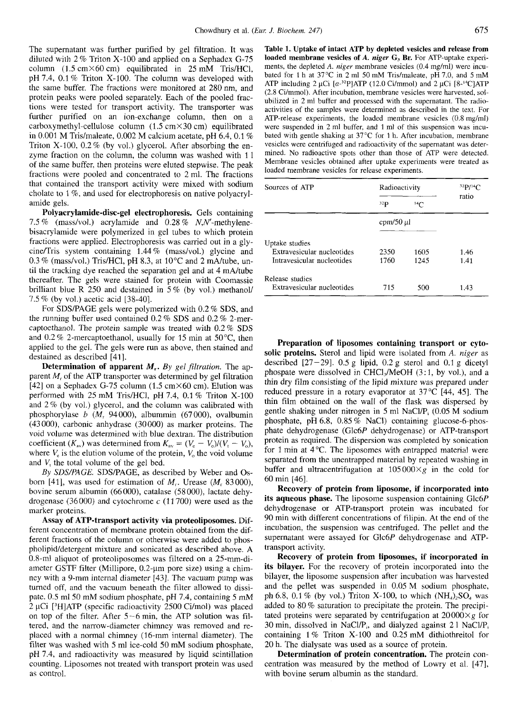The supernatant was further purified by gel filtration. It was column  $(1.5 \text{ cm} \times 60 \text{ cm})$  equilibrated in 25 mM Tris/HCl, pH 7.4, 0.1% Triton X-100. The column was developed with the same buffer. The fractions were monitored at 280 nm, and protein peaks were pooled separately. Each of the pooled fractions were tested for transport activity. The transporter was further purified on an ion-exchange column, then on a carboxymethyl-cellulose column  $(1.5 \text{ cm} \times 30 \text{ cm})$  equilibrated in 0.001 M Tris/maleate, 0.002 M calcium acetate, pH 6.4, 0.1 % Triton X-100, 0.2 % (by vol.) glycerol. After absorbing the enzyme fraction on the column, the column was washed with 11 of the same buffer, then proteins were eluted stepwise. The peak fractions were pooled and concentrated to 2 ml. The fractions that contained the transport activity were mixed with sodium cholate to 1 %, and used for electrophoresis on native polyacrylamide gels. **Polyacity and Solution**  $X-100, 0.2\%$  (by vol.) glycerol. After absorbing the enversieles were centrifuged and radioactivity of the supernatant was deter-<br>
in metals and the column was washed with 11 mined. No radioacti

7.5% (mass/vol.) acrylamide and  $0.28\%$  N,N'-methylenebisacrylamide were polymerized in gel tubes to which protein fractions were applied. Electrophoresis was carried out in a glycine/Tris system containing  $1.44\%$  (mass/vol.) glycine and  $0.3\%$  (mass/vol.) Tris/HCl, pH 8.3, at  $10^{\circ}$ C and 2 mA/tube, until the tracking dye reached the separation gel and at 4 mA/tube thereafter. The gels were stained for protein with Coomassie brilliant blue R 250 and destained in *5* % (by vol.) methanol/ 7.5 % (by vol.) acetic acid [38-401.

For SDS/PAGE gels were polymerized with 0.2 % SDS, and the running buffer used contained 0.2 % SDS and 0.2 % 2-mercaptoethanol. The protein sample was treated with 0.2 % SDS and  $0.2\%$  2-mercaptoethanol, usually for 15 min at 50 $^{\circ}$ C, then applied to the gel. The gels were run as above, then stained and destained as described [41]. For SDS/PAGE gels were polymerized with 0.2 % SDS, and<br>
running buffer used contained 0.2 % SDS and 0.2 % 2-mer-<br>
toethanol. The protein sample was treated with 0.2 % SDS<br>
0.2 % 2-mercaptoethanol, usually for 15 min at 50

parent *Mr* of the ATP transporter was determined by gel filtration [42] on a Sephadex G-75 column (1.5 cm $\times$ 60 cm). Elution was performed with 25 mM Tris/HCI, pH 7.4, 0.1 % Triton X-100 and 2% (by vol.) glycerol, and the column was calibrated with phosphorylase *b (M,* 94000), albummin (67 000), ovalbumin (43 OOO), carbonic anhydrase (30000) as marker proteins. The void volume was determined with blue dextran. The distribution coefficient  $(K_{av})$  was determined from  $K_{av} = (V_e - V_o)/(V_i - V_o)$ , where  $V_e$  is the elution volume of the protein,  $V_o$  the void volume and *V,* the total volume of the gel bed.

*By* SDYPAGE. SDSPAGE, as described by Weber and Osborn [41], was used for estimation of  $M_r$ . Urease  $(M_r 83000)$ , bovine serum albumin (66000), catalase (58 000), lactate dehydrogenase (36000) and cytochrome *c* (11 700) were used as the marker proteins.

**Assay of ATP-transport activity via proteoliposomes.** Different concentration of membrane protein obtained from the different fractions of the column or otherwise were added to phospholipid/detergent mixture and sonicated as described above. A 0.8-ml aliquot of proteoliposomes was filtered on a 25-mm-diameter GSTF filter (Millipore, 0.2-µm pore size) using a chimney with a 9-mm internal diameter [43]. The vacuum pump was turned off, and the vacuum beneath the filter allowed to dissipate. 0.5 ml50 mM sodium phosphate, pH 7.4, containing *5* mM pholipid/detergent mixture and sonicated as described above. A<br>
0.8-ml aliquot of proteoliposomes was filtered on a 25-mm-di-<br>
ameter GSTF filter (Millipore, 0.2-µm pore size) using a chim-<br>
its **bilayer**. For the recover on top of the filter. After 5-6 min, the ATP solution was filtered, and the narrow-diameter chimney was removed and replaced with a normal chimney (16-mm internal diameter). The filter was washed with *5* ml ice-cold 50 mM sodium phosphate, pH 7.4, and radioactivity was measured by liquid scintillation counting. Liposomes not treated with transport protein was used as control.

Chowdhury et al. *(Eur. J. Biochem. 247)* 675<br>
Eltration, It was a Table 1. Untake of intert ATP by depleted vesicles and release from Chowdhury et al. (*Eur. J. Biochem. 247*) (675<br>
The supernatant was further purified by gel filtration. It was **Table 1. Uptake of intact ATP by depleted vesicles and release from**<br>
diluted with 2 % Triton X-100 and applie Chowdhury et al. (*Eur. J. Biochem. 247*) (675<br>
The supernatant was further purified by gel filtration. It was **Table 1. Uptake of intact ATP by depleted vesicles and release from**<br>
diluted with 2% Triton X-100 and applie **Table 1. Uptake of intact ATP by depleted vesicles and release from loaded membrane vesicles of A.** *niger* **G, Br.** For ATP-uptake experiments, the depleted **A.** *niger* membrane vesicles (0.4 mg/ml) were incubated for 1 h at 37°C in 2 ml 50 mM Tris/maleate, pH 7.0, and 5 mM ATP including 2  $\mu$ Ci [ $\alpha$ -<sup>32</sup>P]ATP (12.0 Ci/mmol) and 2  $\mu$ Ci [8-<sup>14</sup>C]ATP (2.8 Cilmmol). After incubation, membrane vesicles were harvested, solubilized in 2 ml buffer and processed with the supernatant. The radioactivities of the samples were determined as described in the text. For ATP-release experiments, the loaded membrane vesicles (0.8 mg/ml) were suspended in 2 ml buffer, and 1 ml of this suspension was incubated with gentle shaking at  $37^{\circ}$ C for 1 h. After incubation, membrane vesicles were centrifuged and radioactivity of the supernatant was determined. No radioactive spots other than those of ATP were detected. Membrane vesicles obtained after uptake experiments were treated as loaded membrane vesicles for release experiments.

| Sources of ATP             | Radioactivity         |                 | 32P/14C |  |
|----------------------------|-----------------------|-----------------|---------|--|
|                            | 32 <sub>p</sub>       | 14 <sup>2</sup> | ratio   |  |
|                            | $\text{cpm}/50 \mu$ l |                 |         |  |
| Uptake studies             |                       |                 |         |  |
| Extravesicular nucleotides | 2350                  | 1605            | 1.46    |  |
| Intravesicular nucleotides | 1760                  | 1245            | 1.41    |  |
| Release studies            |                       |                 |         |  |
| Extravesicular nucleotides | 715                   | 500             | 1.43    |  |

where *V<sub>e</sub>* is the elution volume of the protein, *V*<sub>c</sub> the void volume<br>  $V_{\text{th}}$  and  $2\%$  (by vol.) glycerol, and the column was calibrated with<br>
phosphorylase *b* (*M*, 94000), albummin (67000), ovalbumin<br>
(43000), **Preparation of liposomes containing transport or cytosolic proteins.** Sterol and lipid were isolated from A. *niger* as described  $[27-29]$ . 0.5 g lipid, 0.2 g sterol and 0.1 g dicetyl phospate were dissolved in CHCl<sub>3</sub>/MeOH  $(3:1,$  by vol.), and a thin dry film consisting of the lipid mixture was prepared under reduced pressure in a rotary evaporator at  $37^{\circ}$ C [44, 45]. The thin film obtained on the wall of the flask was dispersed by gentle shaking under nitrogen in *5* ml NaCI/P, (0.05 M sodium phosphate, pH 6.8, 0.85 % NaCl) containing glucose-6-phosphate dehydrogenase (Glc6P dehydrogenase) or ATP-transport protein as required. The dispersion was completed by sonication for 1 min at 4°C. The liposomes with entrapped material were separated from the unentrapped material by repeated washing in buffer and ultracentrifugation at  $105000 \times g$  in the cold for 60 min [46].

**Recovery of protein from liposome, if incorporated into its aqueous phase.** The liposome suspension containing Glc6P dehydrogenase or ATP-transport protein was incubated for 90 min with different concentrations of filipin. At the end of the incubation, the suspension was centrifuged. The pellet and the supernatant were assayed for Glc6P dehydrogenase and ATPtransport activity.

**Recovery of protein from liposomes, if incorporated in its bilayer.** For the recovery of protein incorporated into the bilayer, the liposome suspension after incubation was harvested and the pellet was suspended in 0.05 M sodium phosphate, ph 6.8, 0.1 % (by vol.) Triton X-100, to which  $(NH_4)_2SO_4$  was added to 80 % saturation to precipitate the protein. The precipitated proteins were separated by centrifugation at  $20000\times g$  for 30 min, dissolved in NaCl/P<sub>i</sub>, and dialyzed against  $21$  NaCl/P<sub>i</sub> containing 1 % Triton X-100 and 0.25 mM dithiothreitol for 20 h. The dialysate was used as a source of protein.

**Determination of protein concentration.** The protein concentration was measured by the method of Lowry et al. [47], with bovine serum albumin as the standard.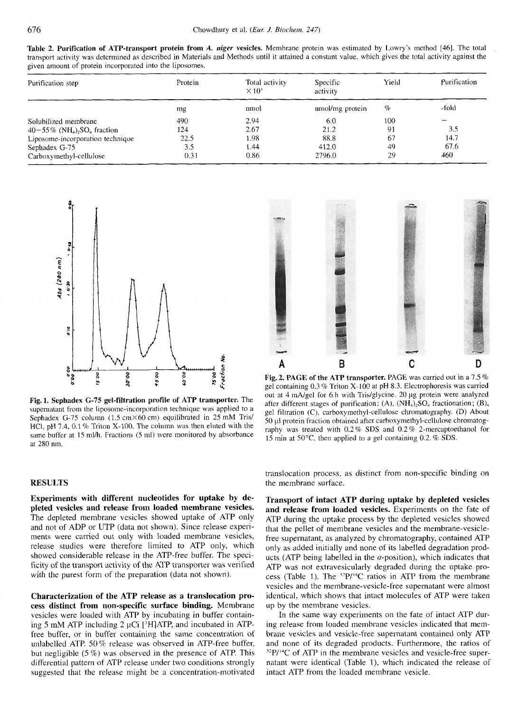**Table 2. Purification of ATP-transport protein from**  *A. niger*  **vesicles.**  Membrane protein was al. *(Eur. J. Biochem. 247)*<br>esicles. Membrane arotein was estimated by Lowry's method [46]. The total *J. Biochem. 247*)<br>Mambrane protein was estimated by Lowry's method [46]. The total *247)* **zyxwvutsrqponmlkjihgfedcbaZYXWVUTSRQPONMLKJIHGFEDCBA** estimated by Lowry's method [46]. The total transport activity was determined as described in Materials and Methods until it attained a constant value, which gives the total activity against the given amount of protein incorporated into the liposomes.

|                                                                                                                                                                                                                                                                                          | Chowdhury et al. (Eur. J. Biochem. 247) |                     |              |
|------------------------------------------------------------------------------------------------------------------------------------------------------------------------------------------------------------------------------------------------------------------------------------------|-----------------------------------------|---------------------|--------------|
| Table 2. Purification of ATP-transport protein from A. niger vesicles. Membrane protein was estimated by Lowry's method [46]. The total transport activity was determined as described in Materials and Methods until it attai<br>wen amount of protein incorporated into the liposomes. |                                         |                     |              |
| Purification step                                                                                                                                                                                                                                                                        | × 10° -                                 | Specific<br>activit | Purification |
|                                                                                                                                                                                                                                                                                          | nmol                                    | mol/mg prote        |              |
| Solubilized membrane<br>$40-55\%$ (NH <sub>4</sub> ) <sub>2</sub> SO <sub>4</sub> fraction                                                                                                                                                                                               |                                         |                     |              |
| Liposome-incorporation technique<br>Sephadex G-75                                                                                                                                                                                                                                        |                                         |                     |              |
|                                                                                                                                                                                                                                                                                          |                                         |                     |              |



**Fig. 1. Sephadex G-75 gel-filtration profile of ATP transporter.** The supernatant from the liposome-incorporation technique was applied to a Sephadex G-75 column (1.5 cm×60 cm) equilibrated in 25 mM Tris/ HCI, pH 7.4, 0.1 % Triton X-100. The column was then eluted with the same buffer at 15 ml/h. Fractions (5 ml) were monitored by absorbance at 280 nm.

# **RESULTS**

**Experiments with different nucleotides for uptake by depleted vesicles and release from loaded membrane vesicles.**  The depleted membrane vesicles showed uptake of ATP only and not of ADP or UTP (data not shown). Since release experiments were carried out only with loaded membrane vesicles, release studies were therefore limited to ATP only, which showed considerable release in the ATP-free buffer. The specificity of the transport activity of the ATP transporter was verified with the purest form of the preparation (data not shown).

**Characterization of the ATP release as a translocation process distinct from non-specific surface binding.** Membrane vesicles were loaded with ATP by incubating in buffer containing **5** mM ATP including 2 pCi ['HIATP, and incubated in ATPfree buffer, or in buffer containing the same concentration of unlabelled ATP. 50% release was observed in ATP-free buffer, but negligible *(5* %) was observed in the presence of ATP. This differential pattern of ATP release under two conditions strongly suggested that the release might be a concentration-motivated



**Fig. 2. PAGE of the ATP transporter.** PAGE was carried out in a 75 % gel containing  $0.3\%$  Triton X-100 at pH 8.3. Electrophoresis was carried out at 4 mA/gel for 6 h with Tris/glycine. 20 µg protein were analyzed after different stages of purification:  $(A)$ ,  $(NH_4)_2SO_4$  fractionation;  $(B)$ , gel filtration (C), carboxymethyl-cellulose chromatography. (D) About SO **pl** protein fraction obtained after carboxymethyl-cellulose chromatography was treated with 0.2% SDS and 0.2% 2-mercaptoethanol for 15 min at *50"C,* then applied to a gel containing 0.2. % SDS.

translocation process, as distinct from non-specific binding on the membrane surface.

**Transport of intact ATP during uptake by depleted vesicles and release from loaded vesicles.** Experiments on the fate of ATP during the uptake process by the depleted vesicles showed that the pellet of membrane vesicles and the membrane-vesiclefree supernatant, as analyzed by chromatography, contained ATP only as added initially and none of its labelled degradation products (ATP being labelled in the  $\alpha$ -position), which indicates that ATP was not extravesicularly degraded during the uptake process (Table 1). The  $^{32}P/^{14}C$  ratios in ATP from the membrane vesicles and the membrane-vesicle-free supernatant were almost identical, which shows that intact molecules of ATP were taken up by the membrane vesicles.

In the same way experiments on the fate of intact ATP during release from loaded membrane vesicles indicated that membrane vesicles and vesicle-free supernatant contained only ATP and none of its degraded products. Furthermore, the ratios of  $32P/14C$  of ATP in the membrane vesicles and vesicle-free supernatant were identical (Table I), which indicated the release of intact ATP from the loaded membrane vesicle.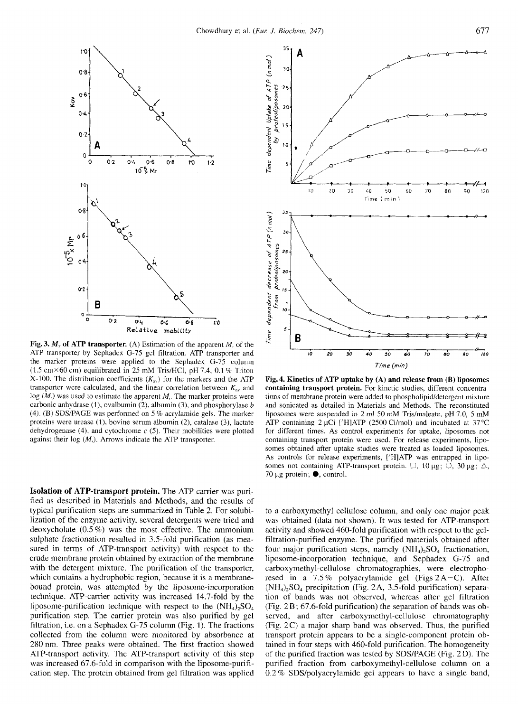

ATP transporter by Sephadex G-75 gel filtration. ATP transporter and the marker proteins were applied to the Sephadex G-75 column (1.5 cmX60 cm) equilibrated in 25 mM Tris/HCI, pH *1.4,* 0.1 % Triton X-100. The distribution coefficients  $(K_{av})$  for the markers and the ATP transporter were calculated, and the linear correlation between  $K_{av}$  and  $log(M_r)$  was used to estimate the apparent  $M_r$ . The marker proteins were carbonic anhydrase (l), ovalbumin *(2),* albumin *(3),* and phosphorylase *b*  (4). (B) SDSPAGE was performed on 5 % acrylamide gels. The marker proteins were urease (1), bovine serum albumin (2), catalase (3), lactate dehydrogenase (4), and cytochrome *c (5).* Their mobilities were plotted against their  $log(M<sub>r</sub>)$ . Arrows indicate the ATP transporter.

**Isolation of ATP-transport protein.** The ATP carrier was purified as described in Materials and Methods, and the results of typical purification steps are summarized in Table 2. For solubilization of the enzyme activity, several detergents were tried and deoxycholate (0.5 %) was the most effective. The ammonium sulphate fractionation resulted in 3.5-fold purification (as measured in terms of ATP-transport activity) with respect to the crude membrane protein obtained by extraction of the membrane with the detergent mixture. The purification of the transporter, which contains a hydrophobic region, because it is a membranebound protein, was attempted by the liposome-incorporation technique. ATP-carrier activity was increased 14.7-fold by the liposome-purification technique with respect to the  $(NH_4)$ ,  $SO_4$ purification step. The carrier protein was also purified by gel filtration, i.e. on a Sephadex *G-75* column (Fig. 1). The fractions collected from the column were monitored by absorbance at 280 nm. Three peaks were obtained. The first fraction showed ATP-transport activity. The ATP-transport activity of this step was increased 67.6-fold in comparison with the liposome-purification step. The protein obtained from gel filtration was applied



**Fig. 4. Kinetics of ATP uptake by (A) and release from (B) liposomes containing transport protein.** For kinetic studies, different concentrations of membrane protein were added to phospholipid/detergent mixture and sonicated as detailed in Materials and Methods. The reconstituted liposomes were suspended in 2 ml 50 mM Tris/maleate, pH 7.0, 5 mM ATP containing  $2 \mu$ Ci [<sup>3</sup>H]ATP (2500 Ci/mol) and incubated at 37 °C for different times. **As** control experiments for uptake, liposomes not containing transport protein were used. For release experiments, liposomes obtained after uptake studies were treated as loaded liposomes. As controls for release experiments, ['HIATP was entrapped in liposomes not containing ATP-transport protein.  $\Box$ , 10 µg;  $\overline{O}$ , 30 µg;  $\Delta$ , *10* pg protein; **0,** control.

to a carboxymethyl cellulose column, and only one major peak was obtained (data not shown). It was tested for ATP-transport activity and showed 460-fold purification with respect to the gelfiltration-purified enzyme. The purified materials obtained after four major purification steps, namely  $(NH<sub>4</sub>)<sub>2</sub>SO<sub>4</sub>$  fractionation, liposome-incorporation technique, and Sephadex G-75 and carboxymethyl-cellulose chromatographies, were electrophoresed in a 7.5% polyacrylamide gel (Figs2A-C). After (NH,),SO, precipitation (Fig. **2A,** 3.5-fold purification) separation of bands was not observed, whereas after gel filtration (Fig. 2 B ; 67.6-fold purification) the separation of bands was observed, and after carboxymethyl-cellulose chromatography (Fig. 2C) a major sharp band was observed. Thus, the purified transport protein appears to be a single-component protein obtained in four steps with 460-fold purification. The homogeneity of the purified fraction was tested by SDS/PAGE (Fig. 2D). The purified fraction from carboxymethyl-cellulose column on a 0.2 % SDS/polyacrylamide gel appears to have a single band,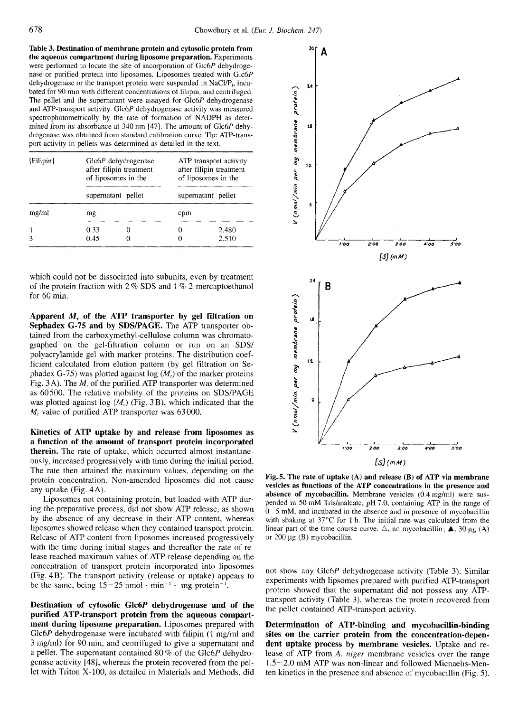**the aqueous compartment during liposome preparation.**  Experiments **Table 3. Destination of membrane protein and cytosolic protein from**  were performed to locate the site of incorporation of Glc6P dehydrogenase or purified protein into liposomes. Liposomes treated with Glc6P dehydrogenase or the transport protein were suspended in NaCl/P<sub>i</sub>, incubated for 90 min with different concentrations of filipin, and centrifuged. The pellet and the supernatant were assayed for Glc6P dehydrogenase and ATP-transport activity. Glc6P dehydrogenase activity was measured spectrophotometrically by the rate of formation of NADPH as determined from its absorbance at 340 nm [47]. The amount of Glc6P dehydrogenase was obtained from standard calibration curve. The ATP-transport activity in pellets was determined as detailed in the text.

| [Filipin] | $Glc6P$ dehydrogenase<br>after filipin treatment<br>of liposomes in the |  | ATP transport activity<br>after filipin treatment<br>of liposomes in the |                |
|-----------|-------------------------------------------------------------------------|--|--------------------------------------------------------------------------|----------------|
|           | supernatant pellet                                                      |  | supernatant pellet                                                       |                |
| mg/ml     | mg                                                                      |  | cpm                                                                      |                |
|           | 0.33<br>0.45                                                            |  | $^{(1)}$                                                                 | 2.480<br>2.510 |

which could not be dissociated into subunits, even by treatment of the protein fraction with  $2\%$  SDS and  $1\%$  2-mercaptoethanol for 60 min.

**Apparent** *M,* **of the ATP transporter by gel filtration on**  Sephadex G-75 and by SDS/PAGE. The ATP transporter obtained from the carboxymethyl-cellulose column was chromatographed on the gel-filtration column or run on an SDS/ polyacrylarnide gel with marker proteins. The distribution coefficient calculated from elution pattern (by gel filtration on Sephadex G-75) was plotted against log  $(M<sub>r</sub>)$  of the marker proteins Fig. 3A). The *M,* of the purified ATP transporter was determined as 60500. The relative mobility of the proteins on SDS/PAGE was plotted against log  $(M<sub>r</sub>)$  (Fig. 3 B), which indicated that the *M,* value of purified ATP transporter was 63000.

**Kinetics of ATP uptake by and release from liposomes as a function of the amount of transport protein incorporated therein.** The rate of uptake, which occurred almost instantaneously, increased progressively with time during the initial period. The rate then attained the maximum values, depending on the protein concentration. Non-amended liposomes did not cause any uptake (Fig. 4A).

Liposomes not containing protein, but loaded with ATP during the preparative process, did not show ATP release, as shown by the absence of any decrease in their ATP content, whereas liposomes showed release when they contained transport protein. Release of ATP content from liposomes increased progressively with the time during initial stages and thereafter the rate of release reached maximum values of ATP release depending on the concentration of transport protein incorporated into liposomes (Fig. 4B). The transport activity (release or uptake) appears to be the same, being  $15-25$  nmol  $\cdot$  min<sup>-1</sup>  $\cdot$  mg protein<sup>-1</sup>.

**Destination of cytosolic Glc6P dehydrogenase and of the purified ATP-transport protein from the aqueous compartment during liposome preparation.** Liposomes prepared with Glc6P dehydrogenase were incubated with filipin (1 mg/ml and 3 mglml) for 90 min, and centrifuged to give a supernatant and a pellet. The supernatant contained 80 % of the Glc6P dehydrogenase activity [48], whereas the protein recovered from the pel-Let with Triton X-100, as detailed in Materials and Methods, did<br>being the pellet contained ATP-transport activity.<br>ment during liposome preparation. Liposomes prepared with<br>Glc6P dehydrogenase were incubated with filipin



**Fig. 5. The rate of uptake (A) and release (B) of ATP via membrane vesicles as functions of the ATP concentrations in the presence and absence of mycobacillin.** Membrane vesicles (0.4 mg/ml) were suspended in 50 mM Tris/maleate, pH 7.0, containing ATP in the range of 0-5 mM, and incubated in the absence and in presence of mycobacillin with shaking at 37°C for **1** h. The initial rate was calculated from the Fig. 5. The rate of uptake (A) and release (B) of ATP via membrane vesicles as functions of the ATP concentrations in the presence and absence of mycobacillin. Membrane vesicles  $(0.4 \text{ mg/ml})$  were suspended in 50 mM Tris/m or 200 **pg** (B) mycobacillin.

not show any Glc6P dehydrogenase activity (Table 3). Similar experiments with lipsomes prepared with purified ATP-transport protein showed that the supernatant did not possess any ATPtransport activity (Table 3), whereas the protein recovered from the pellet contained ATP-transport activity.

**Determination of ATP-binding and mycobacillin-binding sites on the carrier protein from the concentration-dependent uptake process by membrane vesicles.** Uptake and release of ATP from **A.** *niger* membrane vesicles over the range 1.5-2.0 mM ATP was non-linear and followed Michaelis-Menten kinetics in the presence and absence of mycobacillin (Fig. *5).*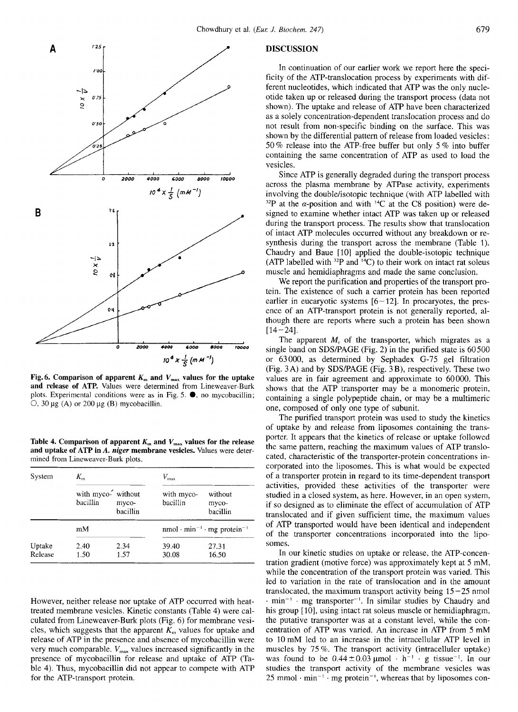

**and release of ATP.** Values were determined from Lineweaver-Burk plots. Experimental conditions  $\circ$ , 30  $\mu$ g (A) or 200  $\mu$ g (B) mycobacillin.

Table 4. Comparison of apparent  $K_m$  and  $V_{\text{max}}$  values for the release **and uptake of ATP in A.** *niger* **membrane vesicles.** Values were determined from Lineweaver-Burk plots.

| System            | $K_{\rm m}$                    |                   | $V_{\rm max}$          |                                                                 |
|-------------------|--------------------------------|-------------------|------------------------|-----------------------------------------------------------------|
|                   | with myco- without<br>bacillin | myco-<br>bacillin | with myco-<br>bacillin | without<br>myco-<br>bacillin                                    |
|                   | mМ                             |                   |                        | nmol $\cdot$ min <sup>-1</sup> $\cdot$ mg protein <sup>-1</sup> |
| Uptake<br>Release | 2.40<br>1.50                   | 2.34<br>1.57      | 39.40<br>30.08         | 27.31<br>16.50                                                  |

However, neither release nor uptake of ATP occurred with heattreated membrane vesicles. Kinetic constants (Table 4) were calculated from Lineweaver-Burk plots (Fig. 6) for membrane vesicles, which suggests that the apparent  $K<sub>m</sub>$  values for uptake and release of ATP in the presence and absence of mycobacillin were very much comparable.  $V_{\text{max}}$  values increased significantly in the presence of mycobacillin for release and uptake of ATP (Table 4). Thus, mycobacillin did not appear to compete with ATP for the ATP-transport protein.

# **DISCUSSION**

In continuation of our earlier work we report here the specificity of the ATP-translocation process by experiments with different nucleotides, which indicated that ATP was the only nucleotide taken up or released during the transport process (data not shown). The uptake and release of ATP have been characterized as a solely concentration-dependent translocation process and do not result from non-specific binding on the surface. This was shown by the differential pattern of release from loaded vesicles : 50 % release into the ATP-free buffer but only 5 % into buffer containing the same concentration of ATP as used to load the vesicles.

Since ATP is generally degraded during the transport process across the plasma membrane by ATPase activity, experiments involving the double/isotopic technique (with ATP labelled with  $32P$  at the  $\alpha$ -position and with  $14C$  at the C8 position) were designed to examine whether intact ATP was taken up or released during the transport process. The results show that translocation of intact ATP molecules occurred without any breakdown or resynthesis during the transport across the membrane (Table 1). Chaudry and Baue [10] applied the double-isotopic technique (ATP labelled with  $32P$  and  $14C$ ) to their work on intact rat soleus muscle and hemidiaphragms and made the same conclusion.

We report the purification and properties of the transport protein. The existence of such a carrier protein has been reported earlier in eucaryotic systems  $[6-12]$ . In procaryotes, the presence of an ATP-transport protein is not generally reported, although there are reports where such a protein has been shown  $[14 - 24]$ .

Fig. 6. Comparison of apparent  $K_m$  and  $V_{\text{max}}$  values for the uptake  $\frac{1}{4}$  and  $\frac{1}{2}$  ( $m \mu^{-1}$ ) are a consequence of ATP. Values were determined from Lineweaver-Burk shows that the ATP transporter may be a mono **Excess Excess Excess Excess Excess Excession Example band on SDS/PAGE (Fig. 2)** in the purified state is 60500 or 63000, as determined by Sephadex G-75 gel filtration (Fig. 3A) and by SDS/PAGE (Fig. 3B), resp The apparent  $M_r$  of the transporter, which migrates as a single band on SDS/PAGE (Fig. 2) in the purified state is 60500 or 63000, as determined by Sephadex G-75 gel filtration (Fig. **3A)** and by SDSPAGE (Fig. 3B), respectively. These two values are in fair agreement and approximate to 60000. This shows that the ATP transporter may be a monomeric protein, containing a single polypeptide chain, or may be a multimeric one, composed of only one type of subunit.

The purified transport protein was used to study the kinetics of uptake by and release from Iiposomes containing the transporter. It appears that the kinetics of release or uptake followed the same pattern, reaching the maximum values of ATP translocated, characteristic of the transporter-protein concentrations incorporated into the liposomes. This is what would be expected of a transporter protein in regard to its time-dependent transport activities, provided these activities of the transporter were studied in a closed system, as here. However, in an open system, if so designed as to eliminate the effect of accumulation of ATP translocated and if given sufficient time, the maximum values of ATP transported would have been identical and independent of the transporter concentrations incorporated into the liposomes.

In our kinetic studies on uptake or release, the ATP-concentration gradient (motive force) was approximately kept at 5 mM, while the concentration of the transport protein was varied. This led to variation in the rate of translocation and in the amount translocated, the maximum transport activity being 15 *-25* nmol  $\cdot$  min<sup>-1</sup>  $\cdot$  mg transporter<sup>-1</sup>. In similar studies by Chaudry and his group [10], using intact rat soleus muscle or hemidiaphragm, the putative transporter was at a constant level, while the concentration of ATP was varied. An increase in ATP from 5 mM to 10 mM led to an increase in the intracellular ATP level in muscles by 75 %. The transport activity (intracelluler uptake) was found to be  $0.44 \pm 0.03$  µmol  $\cdot$  h<sup>-1</sup>  $\cdot$  g tissue<sup>-1</sup>. In our studies the transport activity of the membrane vesicles was 25 mmol  $\cdot$  min<sup>-1</sup>  $\cdot$  mg protein<sup>-1</sup>, whereas that by liposomes con-